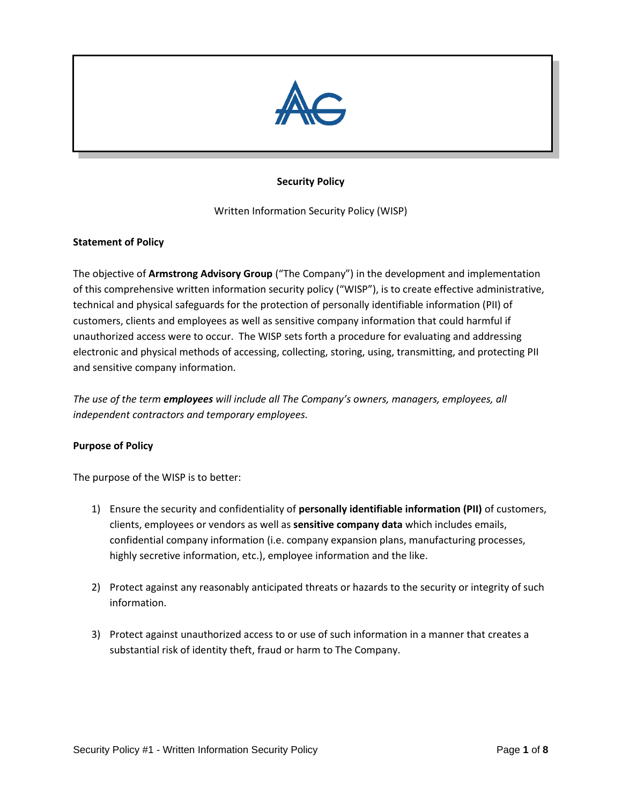

# **Security Policy**

Written Information Security Policy (WISP)

#### **Statement of Policy**

The objective of **Armstrong Advisory Group** ("The Company") in the development and implementation of this comprehensive written information security policy ("WISP"), is to create effective administrative, technical and physical safeguards for the protection of personally identifiable information (PII) of customers, clients and employees as well as sensitive company information that could harmful if unauthorized access were to occur. The WISP sets forth a procedure for evaluating and addressing electronic and physical methods of accessing, collecting, storing, using, transmitting, and protecting PII and sensitive company information.

*The use of the term employees will include all The Company's owners, managers, employees, all independent contractors and temporary employees.* 

## **Purpose of Policy**

The purpose of the WISP is to better:

- 1) Ensure the security and confidentiality of **personally identifiable information (PII)** of customers, clients, employees or vendors as well as **sensitive company data** which includes emails, confidential company information (i.e. company expansion plans, manufacturing processes, highly secretive information, etc.), employee information and the like.
- 2) Protect against any reasonably anticipated threats or hazards to the security or integrity of such information.
- 3) Protect against unauthorized access to or use of such information in a manner that creates a substantial risk of identity theft, fraud or harm to The Company.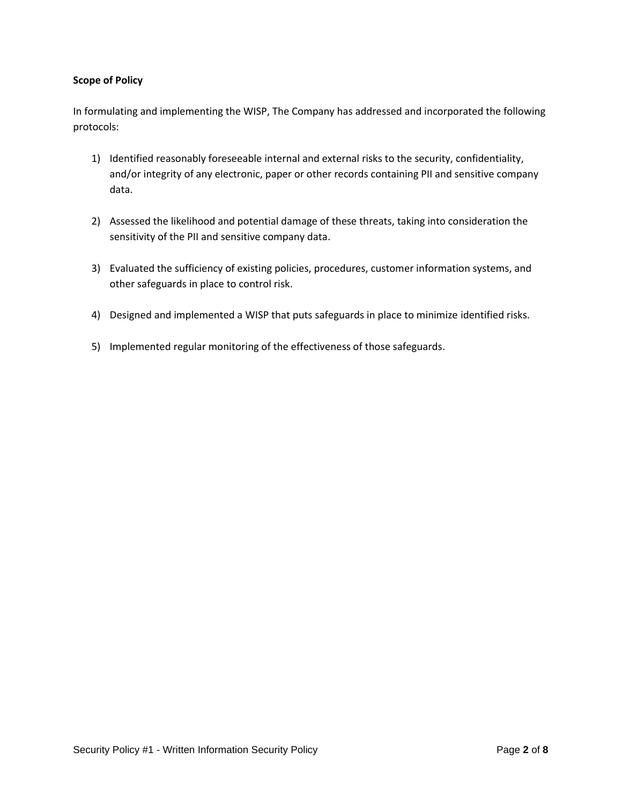## **Scope of Policy**

In formulating and implementing the WISP, The Company has addressed and incorporated the following protocols:

- 1) Identified reasonably foreseeable internal and external risks to the security, confidentiality, and/or integrity of any electronic, paper or other records containing PII and sensitive company data.
- 2) Assessed the likelihood and potential damage of these threats, taking into consideration the sensitivity of the PII and sensitive company data.
- 3) Evaluated the sufficiency of existing policies, procedures, customer information systems, and other safeguards in place to control risk.
- 4) Designed and implemented a WISP that puts safeguards in place to minimize identified risks.
- 5) Implemented regular monitoring of the effectiveness of those safeguards.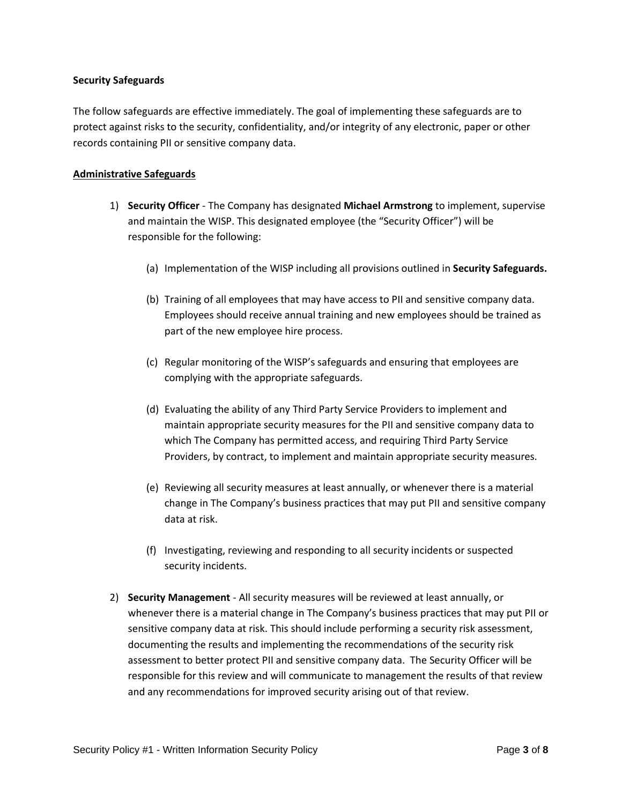#### **Security Safeguards**

The follow safeguards are effective immediately. The goal of implementing these safeguards are to protect against risks to the security, confidentiality, and/or integrity of any electronic, paper or other records containing PII or sensitive company data.

### **Administrative Safeguards**

- 1) **Security Officer** The Company has designated **Michael Armstrong** to implement, supervise and maintain the WISP. This designated employee (the "Security Officer") will be responsible for the following:
	- (a) Implementation of the WISP including all provisions outlined in **Security Safeguards.**
	- (b) Training of all employees that may have access to PII and sensitive company data. Employees should receive annual training and new employees should be trained as part of the new employee hire process.
	- (c) Regular monitoring of the WISP's safeguards and ensuring that employees are complying with the appropriate safeguards.
	- (d) Evaluating the ability of any Third Party Service Providers to implement and maintain appropriate security measures for the PII and sensitive company data to which The Company has permitted access, and requiring Third Party Service Providers, by contract, to implement and maintain appropriate security measures.
	- (e) Reviewing all security measures at least annually, or whenever there is a material change in The Company's business practices that may put PII and sensitive company data at risk.
	- (f) Investigating, reviewing and responding to all security incidents or suspected security incidents.
- 2) **Security Management** All security measures will be reviewed at least annually, or whenever there is a material change in The Company's business practices that may put PII or sensitive company data at risk. This should include performing a security risk assessment, documenting the results and implementing the recommendations of the security risk assessment to better protect PII and sensitive company data. The Security Officer will be responsible for this review and will communicate to management the results of that review and any recommendations for improved security arising out of that review.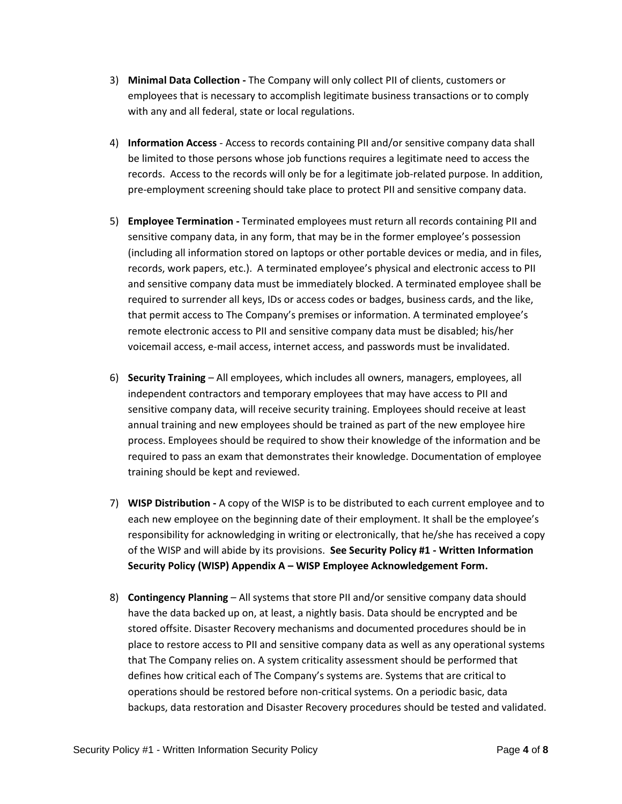- 3) **Minimal Data Collection -** The Company will only collect PII of clients, customers or employees that is necessary to accomplish legitimate business transactions or to comply with any and all federal, state or local regulations.
- 4) **Information Access** Access to records containing PII and/or sensitive company data shall be limited to those persons whose job functions requires a legitimate need to access the records. Access to the records will only be for a legitimate job-related purpose. In addition, pre-employment screening should take place to protect PII and sensitive company data.
- 5) **Employee Termination -** Terminated employees must return all records containing PII and sensitive company data, in any form, that may be in the former employee's possession (including all information stored on laptops or other portable devices or media, and in files, records, work papers, etc.). A terminated employee's physical and electronic access to PII and sensitive company data must be immediately blocked. A terminated employee shall be required to surrender all keys, IDs or access codes or badges, business cards, and the like, that permit access to The Company's premises or information. A terminated employee's remote electronic access to PII and sensitive company data must be disabled; his/her voicemail access, e-mail access, internet access, and passwords must be invalidated.
- 6) **Security Training**  All employees, which includes all owners, managers, employees, all independent contractors and temporary employees that may have access to PII and sensitive company data, will receive security training. Employees should receive at least annual training and new employees should be trained as part of the new employee hire process. Employees should be required to show their knowledge of the information and be required to pass an exam that demonstrates their knowledge. Documentation of employee training should be kept and reviewed.
- 7) **WISP Distribution -** A copy of the WISP is to be distributed to each current employee and to each new employee on the beginning date of their employment. It shall be the employee's responsibility for acknowledging in writing or electronically, that he/she has received a copy of the WISP and will abide by its provisions. **See Security Policy #1 - Written Information Security Policy (WISP) Appendix A – WISP Employee Acknowledgement Form.**
- 8) **Contingency Planning** All systems that store PII and/or sensitive company data should have the data backed up on, at least, a nightly basis. Data should be encrypted and be stored offsite. Disaster Recovery mechanisms and documented procedures should be in place to restore access to PII and sensitive company data as well as any operational systems that The Company relies on. A system criticality assessment should be performed that defines how critical each of The Company's systems are. Systems that are critical to operations should be restored before non-critical systems. On a periodic basic, data backups, data restoration and Disaster Recovery procedures should be tested and validated.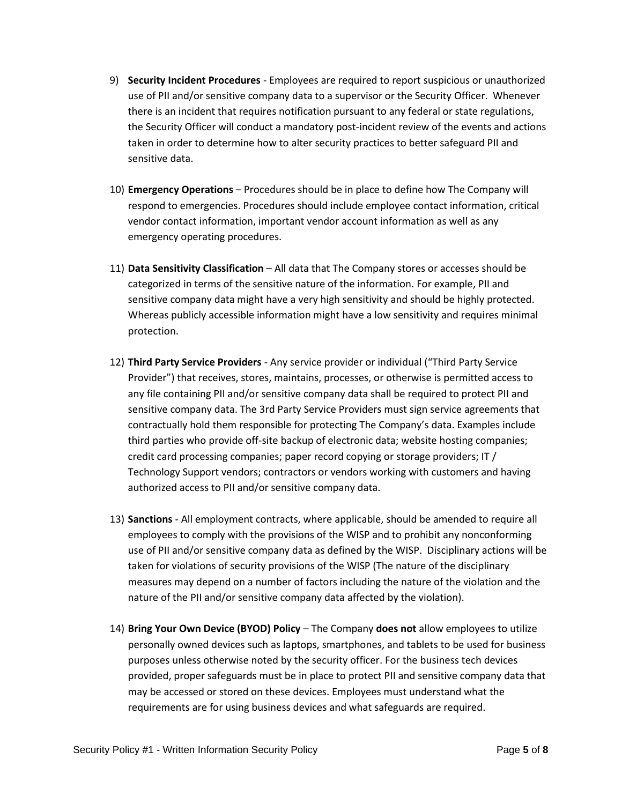- 9) **Security Incident Procedures** Employees are required to report suspicious or unauthorized use of PII and/or sensitive company data to a supervisor or the Security Officer. Whenever there is an incident that requires notification pursuant to any federal or state regulations, the Security Officer will conduct a mandatory post-incident review of the events and actions taken in order to determine how to alter security practices to better safeguard PII and sensitive data.
- 10) **Emergency Operations** Procedures should be in place to define how The Company will respond to emergencies. Procedures should include employee contact information, critical vendor contact information, important vendor account information as well as any emergency operating procedures.
- 11) **Data Sensitivity Classification** All data that The Company stores or accesses should be categorized in terms of the sensitive nature of the information. For example, PII and sensitive company data might have a very high sensitivity and should be highly protected. Whereas publicly accessible information might have a low sensitivity and requires minimal protection.
- 12) **Third Party Service Providers** Any service provider or individual ("Third Party Service Provider") that receives, stores, maintains, processes, or otherwise is permitted access to any file containing PII and/or sensitive company data shall be required to protect PII and sensitive company data. The 3rd Party Service Providers must sign service agreements that contractually hold them responsible for protecting The Company's data. Examples include third parties who provide off-site backup of electronic data; website hosting companies; credit card processing companies; paper record copying or storage providers; IT / Technology Support vendors; contractors or vendors working with customers and having authorized access to PII and/or sensitive company data.
- 13) **Sanctions** All employment contracts, where applicable, should be amended to require all employees to comply with the provisions of the WISP and to prohibit any nonconforming use of PII and/or sensitive company data as defined by the WISP. Disciplinary actions will be taken for violations of security provisions of the WISP (The nature of the disciplinary measures may depend on a number of factors including the nature of the violation and the nature of the PII and/or sensitive company data affected by the violation).
- 14) **Bring Your Own Device (BYOD) Policy** The Company **does not** allow employees to utilize personally owned devices such as laptops, smartphones, and tablets to be used for business purposes unless otherwise noted by the security officer. For the business tech devices provided, proper safeguards must be in place to protect PII and sensitive company data that may be accessed or stored on these devices. Employees must understand what the requirements are for using business devices and what safeguards are required.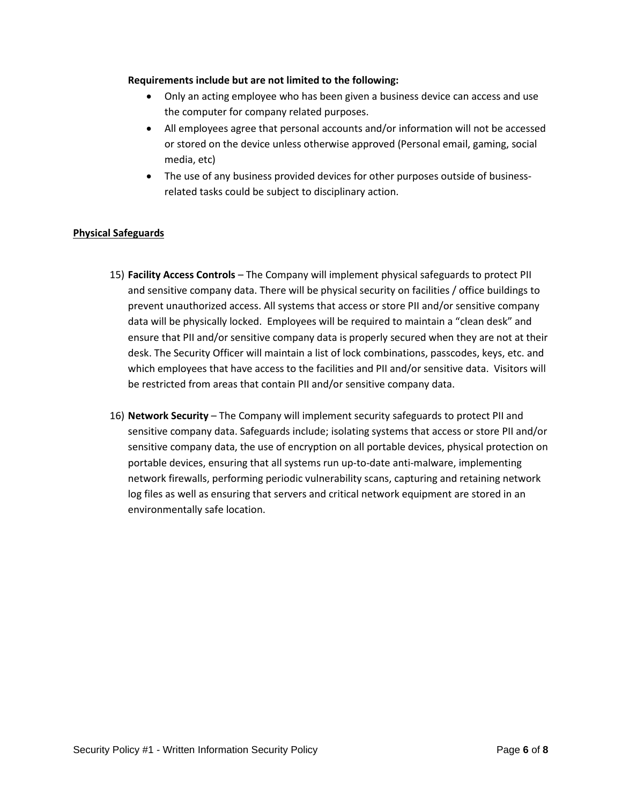#### **Requirements include but are not limited to the following:**

- Only an acting employee who has been given a business device can access and use the computer for company related purposes.
- All employees agree that personal accounts and/or information will not be accessed or stored on the device unless otherwise approved (Personal email, gaming, social media, etc)
- The use of any business provided devices for other purposes outside of businessrelated tasks could be subject to disciplinary action.

# **Physical Safeguards**

- 15) **Facility Access Controls** The Company will implement physical safeguards to protect PII and sensitive company data. There will be physical security on facilities / office buildings to prevent unauthorized access. All systems that access or store PII and/or sensitive company data will be physically locked. Employees will be required to maintain a "clean desk" and ensure that PII and/or sensitive company data is properly secured when they are not at their desk. The Security Officer will maintain a list of lock combinations, passcodes, keys, etc. and which employees that have access to the facilities and PII and/or sensitive data. Visitors will be restricted from areas that contain PII and/or sensitive company data.
- 16) **Network Security** The Company will implement security safeguards to protect PII and sensitive company data. Safeguards include; isolating systems that access or store PII and/or sensitive company data, the use of encryption on all portable devices, physical protection on portable devices, ensuring that all systems run up-to-date anti-malware, implementing network firewalls, performing periodic vulnerability scans, capturing and retaining network log files as well as ensuring that servers and critical network equipment are stored in an environmentally safe location.